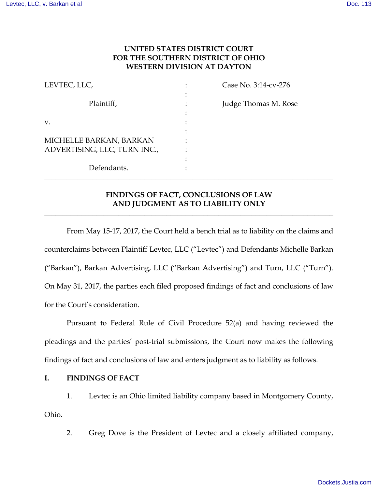# **UNITED STATES DISTRICT COURT FOR THE SOUTHERN DISTRICT OF OHIO WESTERN DIVISION AT DAYTON**

| LEVTEC, LLC,                 | Case No. 3:14-cv-276 |
|------------------------------|----------------------|
| Plaintiff,                   | Judge Thomas M. Rose |
| V.                           |                      |
|                              |                      |
| MICHELLE BARKAN, BARKAN      |                      |
| ADVERTISING, LLC, TURN INC., |                      |
|                              |                      |
| Defendants.                  |                      |

# **FINDINGS OF FACT, CONCLUSIONS OF LAW AND JUDGMENT AS TO LIABILITY ONLY**

**\_\_\_\_\_\_\_\_\_\_\_\_\_\_\_\_\_\_\_\_\_\_\_\_\_\_\_\_\_\_\_\_\_\_\_\_\_\_\_\_\_\_\_\_\_\_\_\_\_\_\_\_\_\_\_\_\_\_\_\_\_\_\_\_\_\_\_\_\_\_\_\_\_\_\_\_\_\_** 

**\_\_\_\_\_\_\_\_\_\_\_\_\_\_\_\_\_\_\_\_\_\_\_\_\_\_\_\_\_\_\_\_\_\_\_\_\_\_\_\_\_\_\_\_\_\_\_\_\_\_\_\_\_\_\_\_\_\_\_\_\_\_\_\_\_\_\_\_\_\_\_\_\_\_\_\_\_\_** 

From May 15-17, 2017, the Court held a bench trial as to liability on the claims and counterclaims between Plaintiff Levtec, LLC ("Levtec") and Defendants Michelle Barkan ("Barkan"), Barkan Advertising, LLC ("Barkan Advertising") and Turn, LLC ("Turn"). On May 31, 2017, the parties each filed proposed findings of fact and conclusions of law for the Court's consideration.

Pursuant to Federal Rule of Civil Procedure 52(a) and having reviewed the pleadings and the parties' post-trial submissions, the Court now makes the following findings of fact and conclusions of law and enters judgment as to liability as follows.

## **I. FINDINGS OF FACT**

1. Levtec is an Ohio limited liability company based in Montgomery County, Ohio.

2. Greg Dove is the President of Levtec and a closely affiliated company,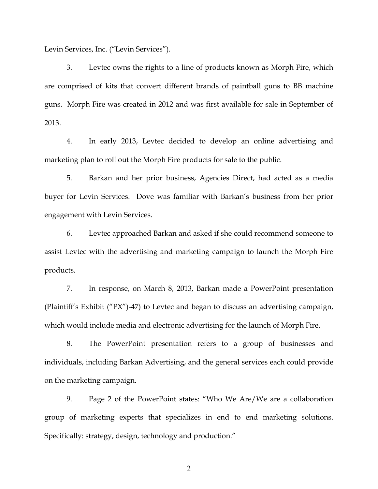Levin Services, Inc. ("Levin Services").

3. Levtec owns the rights to a line of products known as Morph Fire, which are comprised of kits that convert different brands of paintball guns to BB machine guns. Morph Fire was created in 2012 and was first available for sale in September of 2013.

4. In early 2013, Levtec decided to develop an online advertising and marketing plan to roll out the Morph Fire products for sale to the public.

5. Barkan and her prior business, Agencies Direct, had acted as a media buyer for Levin Services. Dove was familiar with Barkan's business from her prior engagement with Levin Services.

6. Levtec approached Barkan and asked if she could recommend someone to assist Levtec with the advertising and marketing campaign to launch the Morph Fire products.

7. In response, on March 8, 2013, Barkan made a PowerPoint presentation (Plaintiff's Exhibit ("PX")-47) to Levtec and began to discuss an advertising campaign, which would include media and electronic advertising for the launch of Morph Fire.

8. The PowerPoint presentation refers to a group of businesses and individuals, including Barkan Advertising, and the general services each could provide on the marketing campaign.

9. Page 2 of the PowerPoint states: "Who We Are/We are a collaboration group of marketing experts that specializes in end to end marketing solutions. Specifically: strategy, design, technology and production."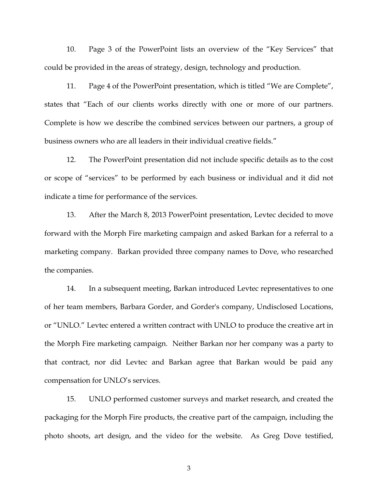10. Page 3 of the PowerPoint lists an overview of the "Key Services" that could be provided in the areas of strategy, design, technology and production.

11. Page 4 of the PowerPoint presentation, which is titled "We are Complete", states that "Each of our clients works directly with one or more of our partners. Complete is how we describe the combined services between our partners, a group of business owners who are all leaders in their individual creative fields."

12. The PowerPoint presentation did not include specific details as to the cost or scope of "services" to be performed by each business or individual and it did not indicate a time for performance of the services.

13. After the March 8, 2013 PowerPoint presentation, Levtec decided to move forward with the Morph Fire marketing campaign and asked Barkan for a referral to a marketing company. Barkan provided three company names to Dove, who researched the companies.

14. In a subsequent meeting, Barkan introduced Levtec representatives to one of her team members, Barbara Gorder, and Gorder's company, Undisclosed Locations, or "UNLO." Levtec entered a written contract with UNLO to produce the creative art in the Morph Fire marketing campaign. Neither Barkan nor her company was a party to that contract, nor did Levtec and Barkan agree that Barkan would be paid any compensation for UNLO's services.

15. UNLO performed customer surveys and market research, and created the packaging for the Morph Fire products, the creative part of the campaign, including the photo shoots, art design, and the video for the website. As Greg Dove testified,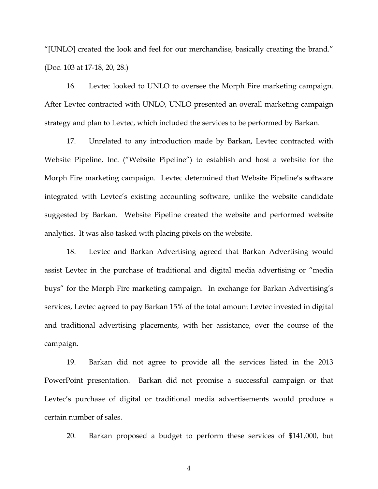"[UNLO] created the look and feel for our merchandise, basically creating the brand." (Doc. 103 at 17-18, 20, 28.)

16. Levtec looked to UNLO to oversee the Morph Fire marketing campaign. After Levtec contracted with UNLO, UNLO presented an overall marketing campaign strategy and plan to Levtec, which included the services to be performed by Barkan.

17. Unrelated to any introduction made by Barkan, Levtec contracted with Website Pipeline, Inc. ("Website Pipeline") to establish and host a website for the Morph Fire marketing campaign. Levtec determined that Website Pipeline's software integrated with Levtec's existing accounting software, unlike the website candidate suggested by Barkan. Website Pipeline created the website and performed website analytics. It was also tasked with placing pixels on the website.

18. Levtec and Barkan Advertising agreed that Barkan Advertising would assist Levtec in the purchase of traditional and digital media advertising or "media buys" for the Morph Fire marketing campaign. In exchange for Barkan Advertising's services, Levtec agreed to pay Barkan 15% of the total amount Levtec invested in digital and traditional advertising placements, with her assistance, over the course of the campaign.

19. Barkan did not agree to provide all the services listed in the 2013 PowerPoint presentation. Barkan did not promise a successful campaign or that Levtec's purchase of digital or traditional media advertisements would produce a certain number of sales.

20. Barkan proposed a budget to perform these services of \$141,000, but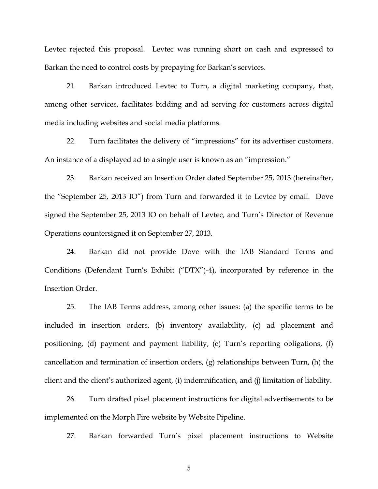Levtec rejected this proposal. Levtec was running short on cash and expressed to Barkan the need to control costs by prepaying for Barkan's services.

21. Barkan introduced Levtec to Turn, a digital marketing company, that, among other services, facilitates bidding and ad serving for customers across digital media including websites and social media platforms.

22. Turn facilitates the delivery of "impressions" for its advertiser customers. An instance of a displayed ad to a single user is known as an "impression."

23. Barkan received an Insertion Order dated September 25, 2013 (hereinafter, the "September 25, 2013 IO") from Turn and forwarded it to Levtec by email. Dove signed the September 25, 2013 IO on behalf of Levtec, and Turn's Director of Revenue Operations countersigned it on September 27, 2013.

24. Barkan did not provide Dove with the IAB Standard Terms and Conditions (Defendant Turn's Exhibit ("DTX")-4), incorporated by reference in the Insertion Order.

25. The IAB Terms address, among other issues: (a) the specific terms to be included in insertion orders, (b) inventory availability, (c) ad placement and positioning, (d) payment and payment liability, (e) Turn's reporting obligations, (f) cancellation and termination of insertion orders, (g) relationships between Turn, (h) the client and the client's authorized agent, (i) indemnification, and (j) limitation of liability.

26. Turn drafted pixel placement instructions for digital advertisements to be implemented on the Morph Fire website by Website Pipeline.

27. Barkan forwarded Turn's pixel placement instructions to Website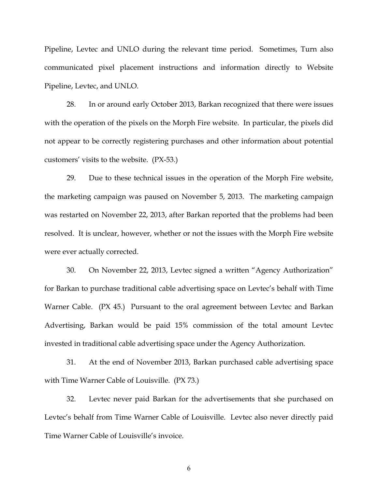Pipeline, Levtec and UNLO during the relevant time period. Sometimes, Turn also communicated pixel placement instructions and information directly to Website Pipeline, Levtec, and UNLO.

28. In or around early October 2013, Barkan recognized that there were issues with the operation of the pixels on the Morph Fire website. In particular, the pixels did not appear to be correctly registering purchases and other information about potential customers' visits to the website. (PX-53.)

29. Due to these technical issues in the operation of the Morph Fire website, the marketing campaign was paused on November 5, 2013. The marketing campaign was restarted on November 22, 2013, after Barkan reported that the problems had been resolved. It is unclear, however, whether or not the issues with the Morph Fire website were ever actually corrected.

30. On November 22, 2013, Levtec signed a written "Agency Authorization" for Barkan to purchase traditional cable advertising space on Levtec's behalf with Time Warner Cable. (PX 45.) Pursuant to the oral agreement between Levtec and Barkan Advertising, Barkan would be paid 15% commission of the total amount Levtec invested in traditional cable advertising space under the Agency Authorization.

31. At the end of November 2013, Barkan purchased cable advertising space with Time Warner Cable of Louisville. (PX 73.)

32. Levtec never paid Barkan for the advertisements that she purchased on Levtec's behalf from Time Warner Cable of Louisville. Levtec also never directly paid Time Warner Cable of Louisville's invoice.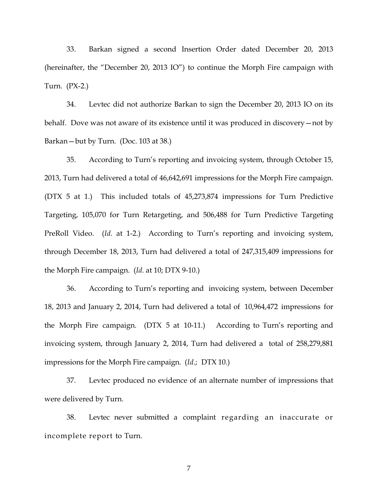33. Barkan signed a second Insertion Order dated December 20, 2013 (hereinafter, the "December 20, 2013 IO") to continue the Morph Fire campaign with Turn. (PX-2.)

34. Levtec did not authorize Barkan to sign the December 20, 2013 IO on its behalf. Dove was not aware of its existence until it was produced in discovery—not by Barkan—but by Turn. (Doc. 103 at 38.)

35. According to Turn's reporting and invoicing system, through October 15, 2013, Turn had delivered a total of 46,642,691 impressions for the Morph Fire campaign. (DTX 5 at 1.) This included totals of 45,273,874 impressions for Turn Predictive Targeting, 105,070 for Turn Retargeting, and 506,488 for Turn Predictive Targeting PreRoll Video. (*Id*. at 1-2.) According to Turn's reporting and invoicing system, through December 18, 2013, Turn had delivered a total of 247,315,409 impressions for the Morph Fire campaign. (*Id.* at 10; DTX 9-10.)

36. According to Turn's reporting and invoicing system, between December 18, 2013 and January 2, 2014, Turn had delivered a total of 10,964,472 impressions for the Morph Fire campaign. (DTX 5 at 10-11.) According to Turn's reporting and invoicing system, through January 2, 2014, Turn had delivered a total of 258,279,881 impressions for the Morph Fire campaign. (*Id*.; DTX 10.)

37. Levtec produced no evidence of an alternate number of impressions that were delivered by Turn.

38. Levtec never submitted a complaint regarding an inaccurate or incomplete report to Turn.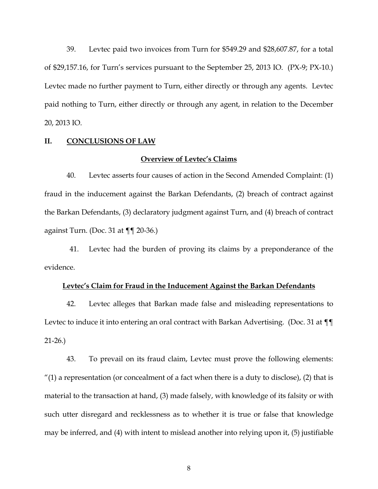39. Levtec paid two invoices from Turn for \$549.29 and \$28,607.87, for a total of \$29,157.16, for Turn's services pursuant to the September 25, 2013 IO. (PX-9; PX-10.) Levtec made no further payment to Turn, either directly or through any agents. Levtec paid nothing to Turn, either directly or through any agent, in relation to the December 20, 2013 IO.

### **II. CONCLUSIONS OF LAW**

## **Overview of Levtec's Claims**

40. Levtec asserts four causes of action in the Second Amended Complaint: (1) fraud in the inducement against the Barkan Defendants, (2) breach of contract against the Barkan Defendants, (3) declaratory judgment against Turn, and (4) breach of contract against Turn. (Doc. 31 at  $\P\P$  20-36.)

41. Levtec had the burden of proving its claims by a preponderance of the evidence.

## **Levtec's Claim for Fraud in the Inducement Against the Barkan Defendants**

42. Levtec alleges that Barkan made false and misleading representations to Levtec to induce it into entering an oral contract with Barkan Advertising. (Doc. 31 at ¶¶ 21-26.)

43. To prevail on its fraud claim, Levtec must prove the following elements:  $''(1)$  a representation (or concealment of a fact when there is a duty to disclose), (2) that is material to the transaction at hand, (3) made falsely, with knowledge of its falsity or with such utter disregard and recklessness as to whether it is true or false that knowledge may be inferred, and (4) with intent to mislead another into relying upon it, (5) justifiable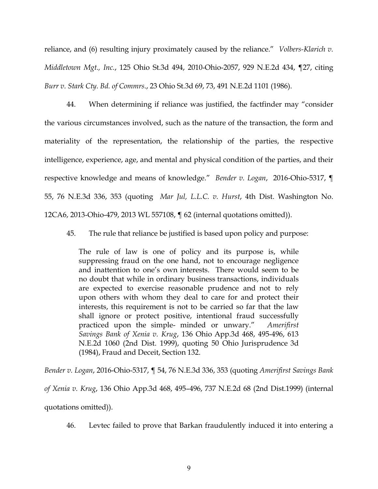reliance, and (6) resulting injury proximately caused by the reliance." *Volbers-Klarich v. Middletown Mgt., Inc.*, 125 Ohio St.3d 494, 2010-Ohio-2057, 929 N.E.2d 434, ¶27, citing *Burr v. Stark Cty. Bd. of Commrs*., 23 Ohio St.3d 69, 73, 491 N.E.2d 1101 (1986).

44. When determining if reliance was justified, the factfinder may "consider the various circumstances involved, such as the nature of the transaction, the form and materiality of the representation, the relationship of the parties, the respective intelligence, experience, age, and mental and physical condition of the parties, and their respective knowledge and means of knowledge." *Bender v. Logan*, 2016-Ohio-5317, ¶ 55, 76 N.E.3d 336, 353 (quoting *Mar Jul, L.L.C. v. Hurst*, 4th Dist. Washington No. 12CA6, 2013-Ohio-479, 2013 WL 557108, ¶ 62 (internal quotations omitted)).

45. The rule that reliance be justified is based upon policy and purpose:

The rule of law is one of policy and its purpose is, while suppressing fraud on the one hand, not to encourage negligence and inattention to one's own interests. There would seem to be no doubt that while in ordinary business transactions, individuals are expected to exercise reasonable prudence and not to rely upon others with whom they deal to care for and protect their interests, this requirement is not to be carried so far that the law shall ignore or protect positive, intentional fraud successfully practiced upon the simple- minded or unwary." *Amerifirst Savings Bank of Xenia v. Krug*, 136 Ohio App.3d 468, 495-496, 613 N.E.2d 1060 (2nd Dist. 1999), quoting 50 Ohio Jurisprudence 3d (1984), Fraud and Deceit, Section 132.

*Bender v. Logan*, 2016-Ohio-5317, ¶ 54, 76 N.E.3d 336, 353 (quoting *Amerifirst Savings Bank of Xenia v. Krug*, 136 Ohio App.3d 468, 495–496, 737 N.E.2d 68 (2nd Dist.1999) (internal quotations omitted)).

46. Levtec failed to prove that Barkan fraudulently induced it into entering a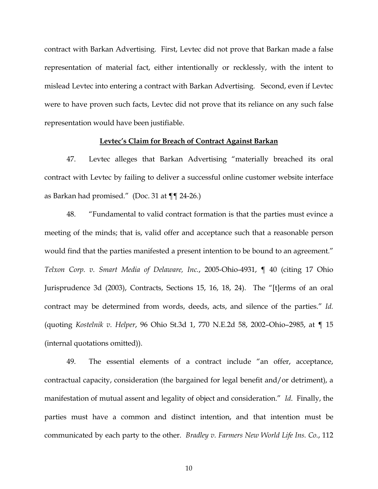contract with Barkan Advertising. First, Levtec did not prove that Barkan made a false representation of material fact, either intentionally or recklessly, with the intent to mislead Levtec into entering a contract with Barkan Advertising. Second, even if Levtec were to have proven such facts, Levtec did not prove that its reliance on any such false representation would have been justifiable.

## **Levtec's Claim for Breach of Contract Against Barkan**

47. Levtec alleges that Barkan Advertising "materially breached its oral contract with Levtec by failing to deliver a successful online customer website interface as Barkan had promised." (Doc. 31 at ¶¶ 24-26.)

48. "Fundamental to valid contract formation is that the parties must evince a meeting of the minds; that is, valid offer and acceptance such that a reasonable person would find that the parties manifested a present intention to be bound to an agreement." *Telxon Corp. v. Smart Media of Delaware, Inc.*, 2005-Ohio-4931, ¶ 40 (citing 17 Ohio Jurisprudence 3d (2003), Contracts, Sections 15, 16, 18, 24). The "[t]erms of an oral contract may be determined from words, deeds, acts, and silence of the parties." *Id.* (quoting *Kostelnik v. Helper*, 96 Ohio St.3d 1, 770 N.E.2d 58, 2002–Ohio–2985, at ¶ 15 (internal quotations omitted)).

49. The essential elements of a contract include "an offer, acceptance, contractual capacity, consideration (the bargained for legal benefit and/or detriment), a manifestation of mutual assent and legality of object and consideration." *Id*. Finally, the parties must have a common and distinct intention, and that intention must be communicated by each party to the other. *Bradley v. Farmers New World Life Ins. Co.*, 112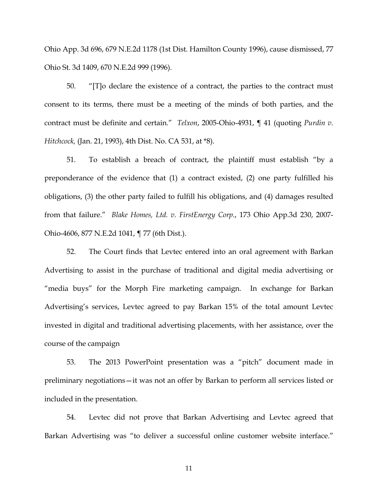Ohio App. 3d 696, 679 N.E.2d 1178 (1st Dist. Hamilton County 1996), cause dismissed, 77 Ohio St. 3d 1409, 670 N.E.2d 999 (1996).

50. "[T]o declare the existence of a contract, the parties to the contract must consent to its terms, there must be a meeting of the minds of both parties, and the contract must be definite and certain." *Telxon*, 2005-Ohio-4931, ¶ 41 (quoting *Purdin v. Hitchcock,* (Jan. 21, 1993), 4th Dist. No. CA 531, at \*8).

51. To establish a breach of contract, the plaintiff must establish "by a preponderance of the evidence that (1) a contract existed, (2) one party fulfilled his obligations, (3) the other party failed to fulfill his obligations, and (4) damages resulted from that failure." *Blake Homes, Ltd. v. FirstEnergy Corp.*, 173 Ohio App.3d 230, 2007- Ohio-4606, 877 N.E.2d 1041, ¶ 77 (6th Dist.).

52. The Court finds that Levtec entered into an oral agreement with Barkan Advertising to assist in the purchase of traditional and digital media advertising or "media buys" for the Morph Fire marketing campaign. In exchange for Barkan Advertising's services, Levtec agreed to pay Barkan 15% of the total amount Levtec invested in digital and traditional advertising placements, with her assistance, over the course of the campaign

53. The 2013 PowerPoint presentation was a "pitch" document made in preliminary negotiations—it was not an offer by Barkan to perform all services listed or included in the presentation.

54. Levtec did not prove that Barkan Advertising and Levtec agreed that Barkan Advertising was "to deliver a successful online customer website interface."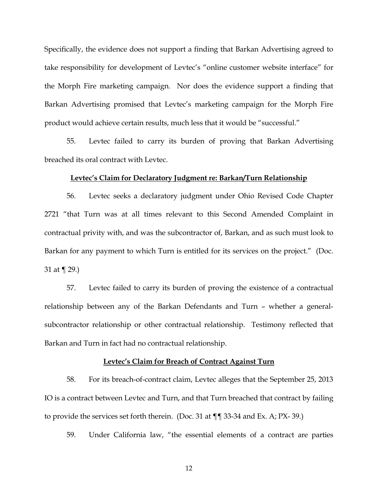Specifically, the evidence does not support a finding that Barkan Advertising agreed to take responsibility for development of Levtec's "online customer website interface" for the Morph Fire marketing campaign. Nor does the evidence support a finding that Barkan Advertising promised that Levtec's marketing campaign for the Morph Fire product would achieve certain results, much less that it would be "successful."

55. Levtec failed to carry its burden of proving that Barkan Advertising breached its oral contract with Levtec.

## **Levtec's Claim for Declaratory Judgment re: Barkan/Turn Relationship**

56. Levtec seeks a declaratory judgment under Ohio Revised Code Chapter 2721 "that Turn was at all times relevant to this Second Amended Complaint in contractual privity with, and was the subcontractor of, Barkan, and as such must look to Barkan for any payment to which Turn is entitled for its services on the project." (Doc. 31 at ¶ 29.)

57. Levtec failed to carry its burden of proving the existence of a contractual relationship between any of the Barkan Defendants and Turn – whether a generalsubcontractor relationship or other contractual relationship. Testimony reflected that Barkan and Turn in fact had no contractual relationship.

#### **Levtec's Claim for Breach of Contract Against Turn**

58. For its breach-of-contract claim, Levtec alleges that the September 25, 2013 IO is a contract between Levtec and Turn, and that Turn breached that contract by failing to provide the services set forth therein. (Doc. 31 at ¶¶ 33-34 and Ex. A; PX- 39.)

59. Under California law, "the essential elements of a contract are parties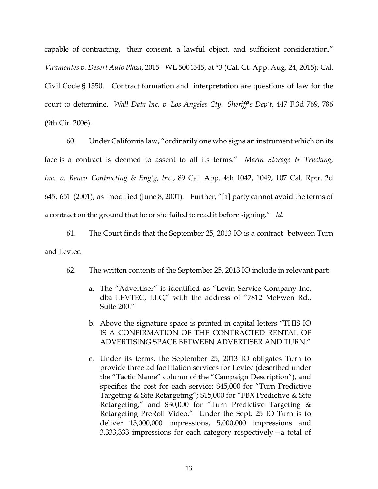capable of contracting, their consent, a lawful object, and sufficient consideration." *Viramontes v. Desert Auto Plaza*, 2015 WL 5004545, at \*3 (Cal. Ct. App. Aug. 24, 2015); Cal. Civil Code § 1550. Contract formation and interpretation are questions of law for the court to determine. *Wall Data Inc. v. Los Angeles Cty. Sheriff's Dep't*, 447 F.3d 769, 786 (9th Cir. 2006).

60. Under California law, "ordinarily one who signs an instrument which on its face is a contract is deemed to assent to all its terms." *Marin Storage & Trucking, Inc. v. Benco Contracting & Eng'g, Inc*., 89 Cal. App. 4th 1042, 1049, 107 Cal. Rptr. 2d 645, 651 (2001), as modified (June 8, 2001). Further, "[a] party cannot avoid the terms of a contract on the ground that he or she failed to read it before signing." *Id.*

61. The Court finds that the September 25, 2013 IO is a contract between Turn and Levtec.

- 62. The written contents of the September 25, 2013 IO include in relevant part:
	- a. The "Advertiser" is identified as "Levin Service Company Inc. dba LEVTEC, LLC," with the address of "7812 McEwen Rd., Suite 200."
	- b. Above the signature space is printed in capital letters "THIS IO IS A CONFIRMATION OF THE CONTRACTED RENTAL OF ADVERTISING SPACE BETWEEN ADVERTISER AND TURN."
	- c. Under its terms, the September 25, 2013 IO obligates Turn to provide three ad facilitation services for Levtec (described under the "Tactic Name" column of the "Campaign Description"), and specifies the cost for each service: \$45,000 for "Turn Predictive Targeting & Site Retargeting"; \$15,000 for "FBX Predictive & Site Retargeting," and \$30,000 for "Turn Predictive Targeting & Retargeting PreRoll Video." Under the Sept. 25 IO Turn is to deliver 15,000,000 impressions, 5,000,000 impressions and 3,333,333 impressions for each category respectively—a total of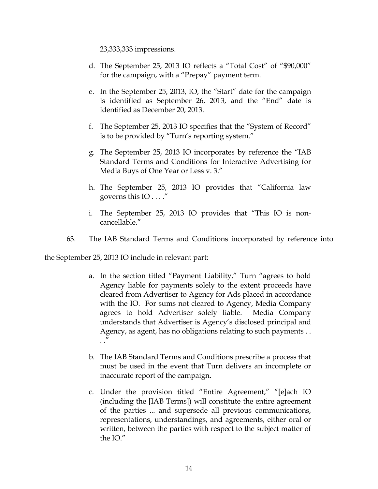23,333,333 impressions.

- d. The September 25, 2013 IO reflects a "Total Cost" of "\$90,000" for the campaign, with a "Prepay" payment term.
- e. In the September 25, 2013, IO, the "Start" date for the campaign is identified as September 26, 2013, and the "End" date is identified as December 20, 2013.
- f. The September 25, 2013 IO specifies that the "System of Record" is to be provided by "Turn's reporting system."
- g. The September 25, 2013 IO incorporates by reference the "IAB Standard Terms and Conditions for Interactive Advertising for Media Buys of One Year or Less v. 3."
- h. The September 25, 2013 IO provides that "California law governs this IO . . . ."
- i. The September 25, 2013 IO provides that "This IO is noncancellable."
- 63. The IAB Standard Terms and Conditions incorporated by reference into

the September 25, 2013 IO include in relevant part:

- a. In the section titled "Payment Liability," Turn "agrees to hold Agency liable for payments solely to the extent proceeds have cleared from Advertiser to Agency for Ads placed in accordance with the IO. For sums not cleared to Agency, Media Company agrees to hold Advertiser solely liable. Media Company understands that Advertiser is Agency's disclosed principal and Agency, as agent, has no obligations relating to such payments . .  $\cdot$ "
- b. The IAB Standard Terms and Conditions prescribe a process that must be used in the event that Turn delivers an incomplete or inaccurate report of the campaign.
- c. Under the provision titled "Entire Agreement," "[e]ach IO (including the [IAB Terms]) will constitute the entire agreement of the parties ... and supersede all previous communications, representations, understandings, and agreements, either oral or written, between the parties with respect to the subject matter of the IO."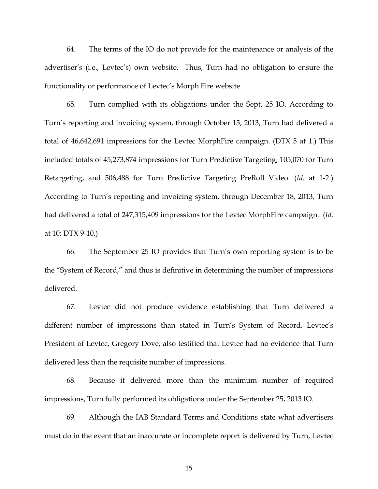64. The terms of the IO do not provide for the maintenance or analysis of the advertiser's (i.e., Levtec's) own website. Thus, Turn had no obligation to ensure the functionality or performance of Levtec's Morph Fire website.

65. Turn complied with its obligations under the Sept. 25 IO. According to Turn's reporting and invoicing system, through October 15, 2013, Turn had delivered a total of 46,642,691 impressions for the Levtec MorphFire campaign. (DTX 5 at 1.) This included totals of 45,273,874 impressions for Turn Predictive Targeting, 105,070 for Turn Retargeting, and 506,488 for Turn Predictive Targeting PreRoll Video. (*Id.* at 1-2.) According to Turn's reporting and invoicing system, through December 18, 2013, Turn had delivered a total of 247,315,409 impressions for the Levtec MorphFire campaign. (*Id*. at 10; DTX 9-10.)

66. The September 25 IO provides that Turn's own reporting system is to be the "System of Record," and thus is definitive in determining the number of impressions delivered.

67. Levtec did not produce evidence establishing that Turn delivered a different number of impressions than stated in Turn's System of Record. Levtec's President of Levtec, Gregory Dove, also testified that Levtec had no evidence that Turn delivered less than the requisite number of impressions.

68. Because it delivered more than the minimum number of required impressions, Turn fully performed its obligations under the September 25, 2013 IO.

69. Although the IAB Standard Terms and Conditions state what advertisers must do in the event that an inaccurate or incomplete report is delivered by Turn, Levtec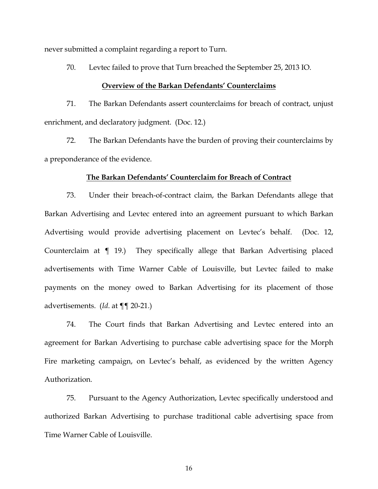never submitted a complaint regarding a report to Turn.

70. Levtec failed to prove that Turn breached the September 25, 2013 IO.

#### **Overview of the Barkan Defendants' Counterclaims**

71. The Barkan Defendants assert counterclaims for breach of contract, unjust enrichment, and declaratory judgment. (Doc. 12.)

72. The Barkan Defendants have the burden of proving their counterclaims by a preponderance of the evidence.

## **The Barkan Defendants' Counterclaim for Breach of Contract**

73. Under their breach-of-contract claim, the Barkan Defendants allege that Barkan Advertising and Levtec entered into an agreement pursuant to which Barkan Advertising would provide advertising placement on Levtec's behalf. (Doc. 12, Counterclaim at ¶ 19.) They specifically allege that Barkan Advertising placed advertisements with Time Warner Cable of Louisville, but Levtec failed to make payments on the money owed to Barkan Advertising for its placement of those advertisements. (*Id*. at ¶¶ 20-21.)

74. The Court finds that Barkan Advertising and Levtec entered into an agreement for Barkan Advertising to purchase cable advertising space for the Morph Fire marketing campaign, on Levtec's behalf, as evidenced by the written Agency Authorization.

75. Pursuant to the Agency Authorization, Levtec specifically understood and authorized Barkan Advertising to purchase traditional cable advertising space from Time Warner Cable of Louisville.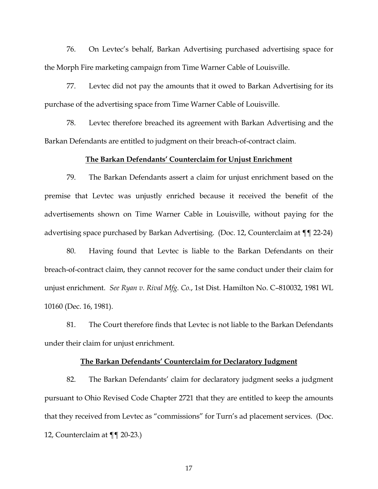76. On Levtec's behalf, Barkan Advertising purchased advertising space for the Morph Fire marketing campaign from Time Warner Cable of Louisville.

77. Levtec did not pay the amounts that it owed to Barkan Advertising for its purchase of the advertising space from Time Warner Cable of Louisville.

78. Levtec therefore breached its agreement with Barkan Advertising and the Barkan Defendants are entitled to judgment on their breach-of-contract claim.

## **The Barkan Defendants' Counterclaim for Unjust Enrichment**

79. The Barkan Defendants assert a claim for unjust enrichment based on the premise that Levtec was unjustly enriched because it received the benefit of the advertisements shown on Time Warner Cable in Louisville, without paying for the advertising space purchased by Barkan Advertising. (Doc. 12, Counterclaim at ¶¶ 22-24)

80. Having found that Levtec is liable to the Barkan Defendants on their breach-of-contract claim, they cannot recover for the same conduct under their claim for unjust enrichment. *See Ryan v. Rival Mfg. Co.*, 1st Dist. Hamilton No. C–810032, 1981 WL 10160 (Dec. 16, 1981).

81. The Court therefore finds that Levtec is not liable to the Barkan Defendants under their claim for unjust enrichment.

## **The Barkan Defendants' Counterclaim for Declaratory Judgment**

82. The Barkan Defendants' claim for declaratory judgment seeks a judgment pursuant to Ohio Revised Code Chapter 2721 that they are entitled to keep the amounts that they received from Levtec as "commissions" for Turn's ad placement services. (Doc. 12, Counterclaim at ¶¶ 20-23.)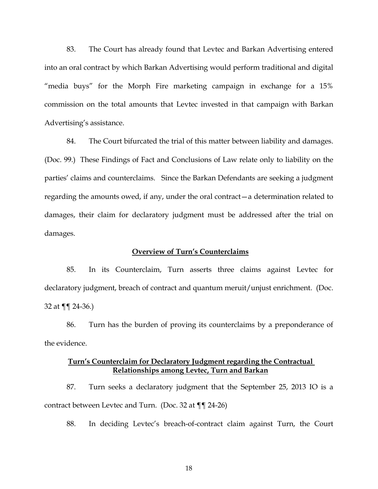83. The Court has already found that Levtec and Barkan Advertising entered into an oral contract by which Barkan Advertising would perform traditional and digital "media buys" for the Morph Fire marketing campaign in exchange for a 15% commission on the total amounts that Levtec invested in that campaign with Barkan Advertising's assistance.

84. The Court bifurcated the trial of this matter between liability and damages. (Doc. 99.) These Findings of Fact and Conclusions of Law relate only to liability on the parties' claims and counterclaims. Since the Barkan Defendants are seeking a judgment regarding the amounts owed, if any, under the oral contract—a determination related to damages, their claim for declaratory judgment must be addressed after the trial on damages.

## **Overview of Turn's Counterclaims**

85. In its Counterclaim, Turn asserts three claims against Levtec for declaratory judgment, breach of contract and quantum meruit/unjust enrichment. (Doc. 32 at ¶¶ 24-36.)

86. Turn has the burden of proving its counterclaims by a preponderance of the evidence.

## **Turn's Counterclaim for Declaratory Judgment regarding the Contractual Relationships among Levtec, Turn and Barkan**

87. Turn seeks a declaratory judgment that the September 25, 2013 IO is a contract between Levtec and Turn. (Doc. 32 at ¶¶ 24-26)

88. In deciding Levtec's breach-of-contract claim against Turn, the Court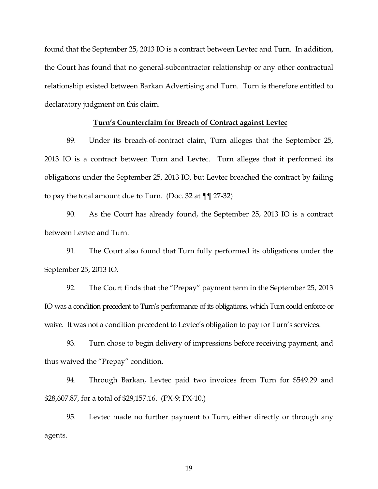found that the September 25, 2013 IO is a contract between Levtec and Turn. In addition, the Court has found that no general-subcontractor relationship or any other contractual relationship existed between Barkan Advertising and Turn. Turn is therefore entitled to declaratory judgment on this claim.

#### **Turn's Counterclaim for Breach of Contract against Levtec**

89. Under its breach-of-contract claim, Turn alleges that the September 25, 2013 IO is a contract between Turn and Levtec. Turn alleges that it performed its obligations under the September 25, 2013 IO, but Levtec breached the contract by failing to pay the total amount due to Turn. (Doc. 32 at  $\P$   $\P$  27-32)

90. As the Court has already found, the September 25, 2013 IO is a contract between Levtec and Turn.

91. The Court also found that Turn fully performed its obligations under the September 25, 2013 IO.

92. The Court finds that the "Prepay" payment term in the September 25, 2013 IO was a condition precedent to Turn's performance of its obligations, which Turn could enforce or waive. It was not a condition precedent to Levtec's obligation to pay for Turn's services.

93. Turn chose to begin delivery of impressions before receiving payment, and thus waived the "Prepay" condition.

94. Through Barkan, Levtec paid two invoices from Turn for \$549.29 and \$28,607.87, for a total of \$29,157.16. (PX-9; PX-10.)

95. Levtec made no further payment to Turn, either directly or through any agents.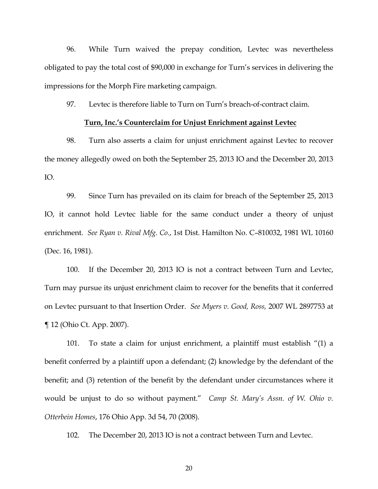96. While Turn waived the prepay condition, Levtec was nevertheless obligated to pay the total cost of \$90,000 in exchange for Turn's services in delivering the impressions for the Morph Fire marketing campaign.

97. Levtec is therefore liable to Turn on Turn's breach-of-contract claim.

## **Turn, Inc.'s Counterclaim for Unjust Enrichment against Levtec**

98. Turn also asserts a claim for unjust enrichment against Levtec to recover the money allegedly owed on both the September 25, 2013 IO and the December 20, 2013 IO.

99. Since Turn has prevailed on its claim for breach of the September 25, 2013 IO, it cannot hold Levtec liable for the same conduct under a theory of unjust enrichment. *See Ryan v. Rival Mfg. Co.*, 1st Dist. Hamilton No. C–810032, 1981 WL 10160 (Dec. 16, 1981).

100. If the December 20, 2013 IO is not a contract between Turn and Levtec, Turn may pursue its unjust enrichment claim to recover for the benefits that it conferred on Levtec pursuant to that Insertion Order. *See Myers v. Good, Ross,* 2007 WL 2897753 at ¶ 12 (Ohio Ct. App. 2007).

101. To state a claim for unjust enrichment, a plaintiff must establish "(1) a benefit conferred by a plaintiff upon a defendant; (2) knowledge by the defendant of the benefit; and (3) retention of the benefit by the defendant under circumstances where it would be unjust to do so without payment." *Camp St. Mary's Assn. of W. Ohio v. Otterbein Homes*, 176 Ohio App. 3d 54, 70 (2008).

102. The December 20, 2013 IO is not a contract between Turn and Levtec.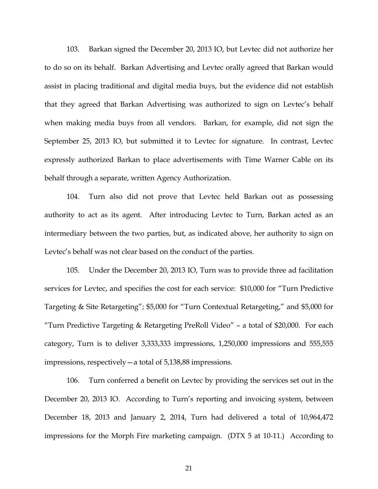103. Barkan signed the December 20, 2013 IO, but Levtec did not authorize her to do so on its behalf. Barkan Advertising and Levtec orally agreed that Barkan would assist in placing traditional and digital media buys, but the evidence did not establish that they agreed that Barkan Advertising was authorized to sign on Levtec's behalf when making media buys from all vendors. Barkan, for example, did not sign the September 25, 2013 IO, but submitted it to Levtec for signature. In contrast, Levtec expressly authorized Barkan to place advertisements with Time Warner Cable on its behalf through a separate, written Agency Authorization.

104. Turn also did not prove that Levtec held Barkan out as possessing authority to act as its agent. After introducing Levtec to Turn, Barkan acted as an intermediary between the two parties, but, as indicated above, her authority to sign on Levtec's behalf was not clear based on the conduct of the parties.

105. Under the December 20, 2013 IO, Turn was to provide three ad facilitation services for Levtec, and specifies the cost for each service: \$10,000 for "Turn Predictive Targeting & Site Retargeting"; \$5,000 for "Turn Contextual Retargeting," and \$5,000 for "Turn Predictive Targeting & Retargeting PreRoll Video" – a total of \$20,000. For each category, Turn is to deliver 3,333,333 impressions, 1,250,000 impressions and 555,555 impressions, respectively—a total of 5,138,88 impressions.

106. Turn conferred a benefit on Levtec by providing the services set out in the December 20, 2013 IO. According to Turn's reporting and invoicing system, between December 18, 2013 and January 2, 2014, Turn had delivered a total of 10,964,472 impressions for the Morph Fire marketing campaign. (DTX 5 at 10-11.) According to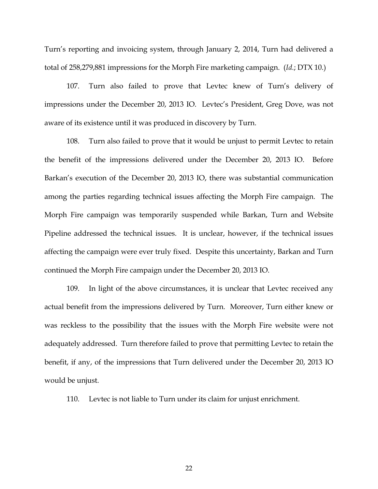Turn's reporting and invoicing system, through January 2, 2014, Turn had delivered a total of 258,279,881 impressions for the Morph Fire marketing campaign. (*Id.*; DTX 10.)

107. Turn also failed to prove that Levtec knew of Turn's delivery of impressions under the December 20, 2013 IO. Levtec's President, Greg Dove, was not aware of its existence until it was produced in discovery by Turn.

108. Turn also failed to prove that it would be unjust to permit Levtec to retain the benefit of the impressions delivered under the December 20, 2013 IO. Before Barkan's execution of the December 20, 2013 IO, there was substantial communication among the parties regarding technical issues affecting the Morph Fire campaign. The Morph Fire campaign was temporarily suspended while Barkan, Turn and Website Pipeline addressed the technical issues. It is unclear, however, if the technical issues affecting the campaign were ever truly fixed. Despite this uncertainty, Barkan and Turn continued the Morph Fire campaign under the December 20, 2013 IO.

109. In light of the above circumstances, it is unclear that Levtec received any actual benefit from the impressions delivered by Turn. Moreover, Turn either knew or was reckless to the possibility that the issues with the Morph Fire website were not adequately addressed. Turn therefore failed to prove that permitting Levtec to retain the benefit, if any, of the impressions that Turn delivered under the December 20, 2013 IO would be unjust.

110. Levtec is not liable to Turn under its claim for unjust enrichment.